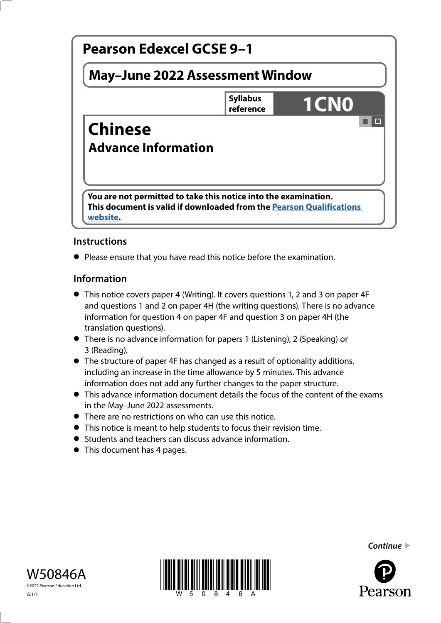

# **Instructions**

**•** Please ensure that you have read this notice before the examination.

## **Information**

- This notice covers paper 4 (Writing). It covers questions 1, 2 and 3 on paper 4F and questions 1 and 2 on paper 4H (the writing questions). There is no advance information for question 4 on paper 4F and question 3 on paper 4H (the translation questions).
- There is no advance information for papers 1 (Listening), 2 (Speaking) or 3 (Reading).
- The structure of paper 4F has changed as a result of optionality additions, including an increase in the time allowance by 5 minutes. This advance information does not add any further changes to the paper structure.
- This advance information document details the focus of the content of the exams in the May–June 2022 assessments.
- There are no restrictions on who can use this notice.
- This notice is meant to help students to focus their revision time.
- Students and teachers can discuss advance information.
- Students and teachers can develop to This document has 4 pages.





*Continue* 

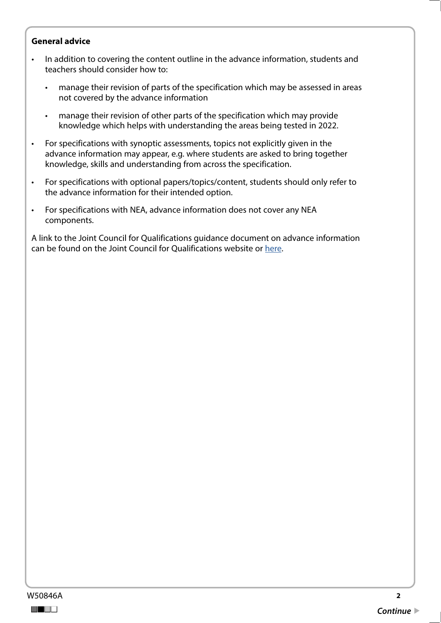#### **General advice**

- In addition to covering the content outline in the advance information, students and teachers should consider how to:
	- manage their revision of parts of the specification which may be assessed in areas not covered by the advance information
	- manage their revision of other parts of the specification which may provide knowledge which helps with understanding the areas being tested in 2022.
- For specifications with synoptic assessments, topics not explicitly given in the advance information may appear, e.g. where students are asked to bring together knowledge, skills and understanding from across the specification.
- For specifications with optional papers/topics/content, students should only refer to the advance information for their intended option.
- For specifications with NEA, advance information does not cover any NEA components.

A link to the Joint Council for Qualifications guidance document on advance information can be found on the Joint Council for Qualifications website or [here](https://www.jcq.org.uk/wp-content/uploads/2021/10/Advance-Information-for-General-Qualifications-2021-22.pdf).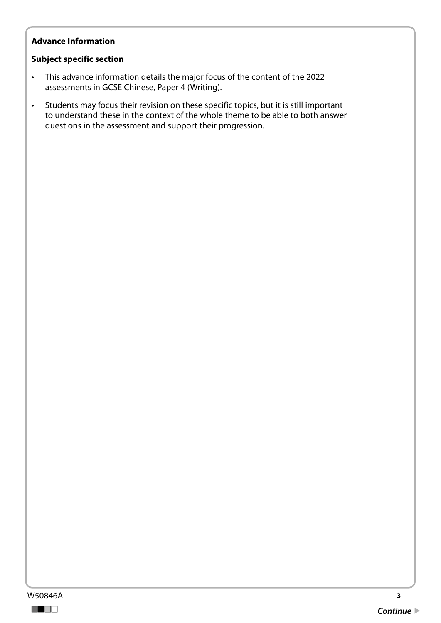## **Advance Information**

### **Subject specific section**

- This advance information details the major focus of the content of the 2022 assessments in GCSE Chinese, Paper 4 (Writing).
- Students may focus their revision on these specific topics, but it is still important to understand these in the context of the whole theme to be able to both answer questions in the assessment and support their progression.